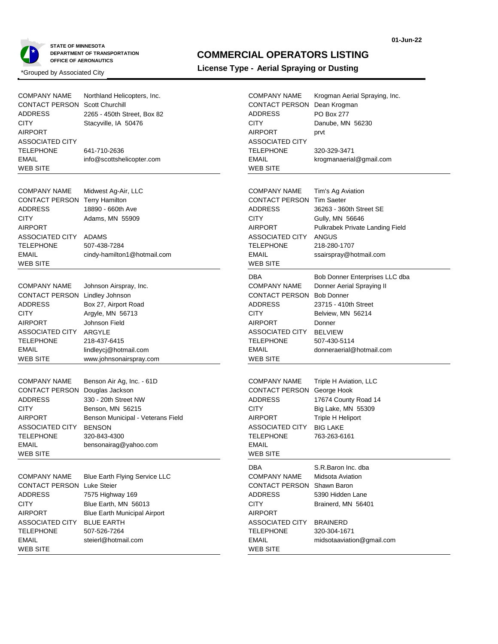



### **COMMERCIAL OPERATORS LISTING**

## **License Type - Aerial Spraying or Dusting**<br> **License Type - Aerial Spraying or Dusting**<br> **License Type - Aerial Spraying or Dusting**

COMPANY NAME

WEB SITE

| COMPANY NAME<br>CONTACT PERSON<br><b>ADDRESS</b><br>CITY<br>AIRPORT<br><b>ASSOCIATED CITY</b><br><b>TELEPHONE</b><br><b>EMAIL</b>                             | Northland Helicopters, Inc.<br><b>Scott Churchill</b><br>2265 - 450th Street, Box 82<br>Stacyville, IA 50476<br>641-710-2636<br>info@scottshelicopter.com                               |
|---------------------------------------------------------------------------------------------------------------------------------------------------------------|-----------------------------------------------------------------------------------------------------------------------------------------------------------------------------------------|
| <b>WEB SITE</b><br><b>COMPANY NAME</b><br>CONTACT PERSON<br>ADDRESS<br>CITY<br>AIRPORT<br>ASSOCIATED CITY ADAMS<br>TELEPHONE<br>EMAIL<br><b>WEB SITE</b>      | Midwest Ag-Air, LLC<br><b>Terry Hamilton</b><br>18890 - 660th Ave<br>Adams, MN 55909<br>507-438-7284<br>cindy-hamilton1@hotmail.com                                                     |
| COMPANY NAME<br>CONTACT PERSON Lindley Johnson<br><b>ADDRESS</b><br>CITY<br>AIRPORT<br>ASSOCIATED CITY ARGYLE<br>TELEPHONE<br>EMAIL<br>WEB SITE               | Johnson Airspray, Inc.<br>Box 27, Airport Road<br>Argyle, MN 56713<br>Johnson Field<br>218-437-6415<br>lindleycj@hotmail.com<br>www.johnsonairspray.com                                 |
| <b>COMPANY NAME</b><br>CONTACT PERSON<br>ADDRESS<br>CITY<br>AIRPORT<br>ASSOCIATED CITY<br>TELEPHONE<br>EMAIL<br>WEB SITE                                      | Benson Air Ag, Inc. - 61D<br>Douglas Jackson<br>330 - 20th Street NW<br>Benson, MN 56215<br>Benson Municipal - Veterans Field<br><b>BENSON</b><br>320-843-4300<br>bensonairag@yahoo.com |
| COMPANY NAME<br><b>CONTACT PERSON Luke Steier</b><br><b>ADDRESS</b><br>CITY<br><b>AIRPORT</b><br>ASSOCIATED CITY BLUE EARTH<br>TELEPHONE<br>EMAIL<br>WEB SITE | <b>Blue Earth Flying Service LLC</b><br>7575 Highway 169<br>Blue Earth, MN 56013<br><b>Blue Earth Municipal Airport</b><br>507-526-7264<br>steierl@hotmail.com                          |

| CONTACT PERSON Dean Krogman<br>ADDRESS<br>CITY<br>AIRPORT<br><b>ASSOCIATED CITY</b><br>TELEPHONE<br>EMAIL<br>WEB SITE                                              | PO Box 277<br>Danube, MN 56230<br>prvt<br>320-329-3471<br>krogmanaerial@gmail.com                                                                                                                     |
|--------------------------------------------------------------------------------------------------------------------------------------------------------------------|-------------------------------------------------------------------------------------------------------------------------------------------------------------------------------------------------------|
| <b>COMPANY NAME</b><br><b>CONTACT PERSON Tim Saeter</b><br><b>ADDRESS</b><br>CITY<br>AIRPORT<br>ASSOCIATED CITY<br>TELEPHONE<br><b>EMAIL</b><br><b>WEB SITE</b>    | Tim's Ag Aviation<br>36263 - 360th Street SE<br>Gully, MN 56646<br>Pulkrabek Private Landing Field<br>ANGUS<br>218-280-1707<br>ssairspray@hotmail.com                                                 |
| DBA<br><b>COMPANY NAME</b><br>CONTACT PERSON<br><b>ADDRESS</b><br>CITY<br><b>AIRPORT</b><br>ASSOCIATED CITY<br><b>TELEPHONE</b><br><b>EMAIL</b><br><b>WEB SITE</b> | Bob Donner Enterprises LLC dba<br>Donner Aerial Spraying II<br><b>Bob Donner</b><br>23715 - 410th Street<br>Belview, MN 56214<br>Donner<br><b>BELVIEW</b><br>507-430-5114<br>donneraerial@hotmail.com |
| <b>COMPANY NAME</b><br>CONTACT PERSON<br><b>ADDRESS</b><br>CITY<br><b>AIRPORT</b><br>ASSOCIATED CITY<br><b>TELEPHONE</b><br><b>EMAIL</b><br><b>WEB SITE</b>        | Triple H Aviation, LLC<br>George Hook<br>17674 County Road 14<br>Big Lake, MN 55309<br>Triple H Heliport<br><b>BIG LAKE</b><br>763-263-6161                                                           |
| DBA<br><b>COMPANY NAME</b><br>CONTACT PERSON<br><b>ADDRESS</b><br><b>CITY</b><br><b>AIRPORT</b><br>ASSOCIATED CITY<br><b>TELEPHONE</b><br><b>EMAIL</b>             | S.R.Baron Inc. dba<br>Midsota Aviation<br>Shawn Baron<br>5390 Hidden Lane<br>Brainerd, MN 56401<br><b>BRAINERD</b><br>320-304-1671<br>midsotaaviation@gmail.com                                       |

Krogman Aerial Spraying, Inc.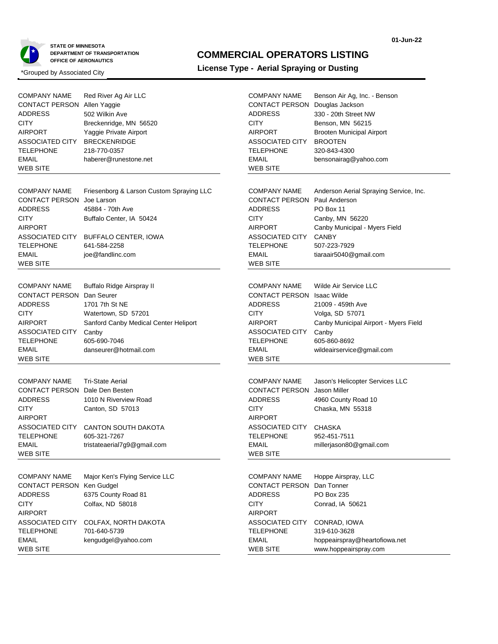

### **COMMERCIAL OPERATORS LISTING**

| <b>COMPANY NAME</b><br>CONTACT PERSON Allen Yaggie<br><b>ADDRESS</b><br><b>CITY</b><br><b>AIRPORT</b><br>ASSOCIATED CITY<br><b>TELEPHONE</b><br><b>EMAIL</b><br>WEB SITE                         | Red River Ag Air LLC<br>502 Wilkin Ave<br>Breckenridge, MN 56520<br>Yaggie Private Airport<br><b>BRECKENRIDGE</b><br>218-770-0357<br>haberer@runestone.net                         | <b>COMPANY NAME</b><br>CONTACT PERSON Douglas Jackson<br><b>ADDRESS</b><br><b>CITY</b><br><b>AIRPORT</b><br>ASSOCIATED CITY<br><b>TELEPHONE</b><br><b>EMAIL</b><br><b>WEB SITE</b>            | Benson Air Ag, Inc. - Benson<br>330 - 20th Street NW<br>Benson, MN 56215<br><b>Brooten Municipal Airport</b><br><b>BROOTEN</b><br>320-843-4300<br>bensonairag@yahoo.com |
|--------------------------------------------------------------------------------------------------------------------------------------------------------------------------------------------------|------------------------------------------------------------------------------------------------------------------------------------------------------------------------------------|-----------------------------------------------------------------------------------------------------------------------------------------------------------------------------------------------|-------------------------------------------------------------------------------------------------------------------------------------------------------------------------|
| <b>COMPANY NAME</b><br><b>CONTACT PERSON</b><br>ADDRESS<br><b>CITY</b><br><b>AIRPORT</b><br>ASSOCIATED CITY<br>TELEPHONE<br><b>EMAIL</b><br>WEB SITE                                             | Friesenborg & Larson Custom Spraying LLC<br>Joe Larson<br>45884 - 70th Ave<br>Buffalo Center, IA 50424<br>BUFFALO CENTER, IOWA<br>641-584-2258<br>joe@fandlinc.com                 | <b>COMPANY NAME</b><br><b>CONTACT PERSON Paul Anderson</b><br><b>ADDRESS</b><br><b>CITY</b><br><b>AIRPORT</b><br>ASSOCIATED CITY<br><b>TELEPHONE</b><br><b>EMAIL</b><br><b>WEB SITE</b>       | Anderson Aerial Spraying Service, Inc.<br>PO Box 11<br>Canby, MN 56220<br>Canby Municipal - Myers Field<br><b>CANBY</b><br>507-223-7929<br>tiaraair5040@gmail.com       |
| <b>COMPANY NAME</b><br><b>CONTACT PERSON</b><br>ADDRESS<br><b>CITY</b><br>AIRPORT<br>ASSOCIATED CITY<br><b>TELEPHONE</b><br><b>EMAIL</b><br>WEB SITE                                             | <b>Buffalo Ridge Airspray II</b><br>Dan Seurer<br>1701 7th St NE<br>Watertown, SD 57201<br>Sanford Canby Medical Center Heliport<br>Canby<br>605-690-7046<br>danseurer@hotmail.com | <b>COMPANY NAME</b><br>CONTACT PERSON Isaac Wilde<br><b>ADDRESS</b><br><b>CITY</b><br><b>AIRPORT</b><br>ASSOCIATED CITY<br><b>TELEPHONE</b><br><b>EMAIL</b><br><b>WEB SITE</b>                | Wilde Air Service LLC<br>21009 - 459th Ave<br>Volga, SD 57071<br>Canby Municipal Airport - Myers Field<br>Canby<br>605-860-8692<br>wildeairservice@gmail.com            |
| <b>COMPANY NAME</b><br><b>CONTACT PERSON Dale Den Besten</b><br><b>ADDRESS</b><br><b>CITY</b><br><b>AIRPORT</b><br><b>ASSOCIATED CITY</b><br><b>TELEPHONE</b><br><b>EMAIL</b><br><b>WEB SITE</b> | <b>Tri-State Aerial</b><br>1010 N Riverview Road<br>Canton, SD 57013<br><b>CANTON SOUTH DAKOTA</b><br>605-321-7267<br>tristateaerial7g9@gmail.com                                  | <b>COMPANY NAME</b><br><b>CONTACT PERSON</b> Jason Miller<br><b>ADDRESS</b><br><b>CITY</b><br><b>AIRPORT</b><br><b>ASSOCIATED CITY</b><br><b>TELEPHONE</b><br><b>EMAIL</b><br><b>WEB SITE</b> | Jason's Helicopter Services LLC<br>4960 County Road 10<br>Chaska, MN 55318<br>CHASKA<br>952-451-7511<br>millerjason80@gmail.com                                         |
| <b>COMPANY NAME</b><br>CONTACT PERSON Ken Gudgel<br><b>ADDRESS</b><br><b>CITY</b><br><b>AIRPORT</b><br>ASSOCIATED CITY<br><b>TELEPHONE</b><br><b>EMAIL</b><br><b>WEB SITE</b>                    | Major Ken's Flying Service LLC<br>6375 County Road 81<br>Colfax, ND 58018<br>COLFAX, NORTH DAKOTA<br>701-640-5739<br>kengudgel@yahoo.com                                           | <b>COMPANY NAME</b><br><b>CONTACT PERSON Dan Tonner</b><br><b>ADDRESS</b><br><b>CITY</b><br><b>AIRPORT</b><br>ASSOCIATED CITY<br><b>TELEPHONE</b><br><b>EMAIL</b><br><b>WEB SITE</b>          | Hoppe Airspray, LLC<br>PO Box 235<br>Conrad, IA 50621<br>CONRAD, IOWA<br>319-610-3628<br>hoppeairspray@heartofiowa.net<br>www.hoppeairspray.com                         |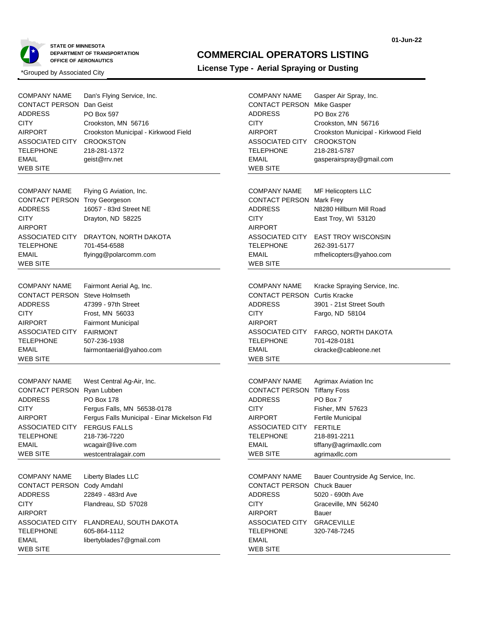

### **COMMERCIAL OPERATORS LISTING**

| <b>COMPANY NAME</b><br><b>CONTACT PERSON Dan Geist</b><br><b>ADDRESS</b><br><b>CITY</b><br><b>AIRPORT</b><br><b>ASSOCIATED CITY</b><br><b>TELEPHONE</b><br><b>EMAIL</b><br><b>WEB SITE</b> | Dan's Flying Service, Inc.<br>PO Box 597<br>Crookston, MN 56716<br>Crookston Municipal - Kirkwood Field<br><b>CROOKSTON</b><br>218-281-1372<br>geist@rrv.net                                                             | <b>COMPANY NAME</b><br><b>CONTACT PERSON Mike Gasper</b><br><b>ADDRESS</b><br><b>CITY</b><br><b>AIRPORT</b><br>ASSOCIATED CITY<br><b>TELEPHONE</b><br><b>EMAIL</b><br><b>WEB SITE</b>   | Gasper Air Spray, Inc.<br><b>PO Box 276</b><br>Crookston, MN 56716<br>Crookston Municipal - Kirkwood Field<br><b>CROOKSTON</b><br>218-281-5787<br>gasperairspray@gmail.com |
|--------------------------------------------------------------------------------------------------------------------------------------------------------------------------------------------|--------------------------------------------------------------------------------------------------------------------------------------------------------------------------------------------------------------------------|-----------------------------------------------------------------------------------------------------------------------------------------------------------------------------------------|----------------------------------------------------------------------------------------------------------------------------------------------------------------------------|
| <b>COMPANY NAME</b><br>CONTACT PERSON Troy Georgeson<br>ADDRESS<br><b>CITY</b><br><b>AIRPORT</b><br>ASSOCIATED CITY<br><b>TELEPHONE</b><br><b>EMAIL</b><br><b>WEB SITE</b>                 | Flying G Aviation, Inc.<br>16057 - 83rd Street NE<br>Drayton, ND 58225<br>DRAYTON, NORTH DAKOTA<br>701-454-6588<br>flyingg@polarcomm.com                                                                                 | <b>COMPANY NAME</b><br><b>CONTACT PERSON Mark Frey</b><br>ADDRESS<br><b>CITY</b><br><b>AIRPORT</b><br>ASSOCIATED CITY<br><b>TELEPHONE</b><br><b>EMAIL</b><br><b>WEB SITE</b>            | <b>MF Helicopters LLC</b><br>N8280 Hillburn Mill Road<br>East Troy, WI 53120<br><b>EAST TROY WISCONSIN</b><br>262-391-5177<br>mfhelicopters@yahoo.com                      |
| <b>COMPANY NAME</b><br>CONTACT PERSON Steve Holmseth<br><b>ADDRESS</b><br><b>CITY</b><br><b>AIRPORT</b><br>ASSOCIATED CITY<br><b>TELEPHONE</b><br><b>EMAIL</b><br><b>WEB SITE</b>          | Fairmont Aerial Ag, Inc.<br>47399 - 97th Street<br>Frost, MN 56033<br><b>Fairmont Municipal</b><br><b>FAIRMONT</b><br>507-236-1938<br>fairmontaerial@yahoo.com                                                           | <b>COMPANY NAME</b><br><b>CONTACT PERSON Curtis Kracke</b><br><b>ADDRESS</b><br><b>CITY</b><br><b>AIRPORT</b><br>ASSOCIATED CITY<br><b>TELEPHONE</b><br><b>EMAIL</b><br><b>WEB SITE</b> | Kracke Spraying Service, Inc.<br>3901 - 21st Street South<br>Fargo, ND 58104<br>FARGO, NORTH DAKOTA<br>701-428-0181<br>ckracke@cableone.net                                |
| <b>COMPANY NAME</b><br><b>CONTACT PERSON</b><br>ADDRESS<br><b>CITY</b><br><b>AIRPORT</b><br>ASSOCIATED CITY<br>TELEPHONE<br>EMAIL<br><b>WEB SITE</b>                                       | West Central Ag-Air, Inc.<br>Ryan Lubben<br>PO Box 178<br>Fergus Falls, MN 56538-0178<br>Fergus Falls Municipal - Einar Mickelson Fld<br><b>FERGUS FALLS</b><br>218-736-7220<br>wcagair@live.com<br>westcentralagair.com | <b>COMPANY NAME</b><br><b>CONTACT PERSON Tiffany Foss</b><br><b>ADDRESS</b><br><b>CITY</b><br><b>AIRPORT</b><br>ASSOCIATED CITY<br><b>TELEPHONE</b><br><b>EMAIL</b><br><b>WEB SITE</b>  | Agrimax Aviation Inc<br>PO Box 7<br>Fisher, MN 57623<br>Fertile Municipal<br><b>FERTILE</b><br>218-891-2211<br>tiffany@agrimaxllc.com<br>agrimaxllc.com                    |
| <b>COMPANY NAME</b><br>CONTACT PERSON Cody Amdahl<br><b>ADDRESS</b><br><b>CITY</b><br><b>AIRPORT</b><br>ASSOCIATED CITY<br>TELEPHONE<br><b>EMAIL</b><br>WEB SITE                           | Liberty Blades LLC<br>22849 - 483rd Ave<br>Flandreau, SD 57028<br>FLANDREAU, SOUTH DAKOTA<br>605-864-1112<br>libertyblades7@gmail.com                                                                                    | <b>COMPANY NAME</b><br>CONTACT PERSON Chuck Bauer<br><b>ADDRESS</b><br><b>CITY</b><br><b>AIRPORT</b><br>ASSOCIATED CITY<br><b>TELEPHONE</b><br><b>EMAIL</b><br><b>WEB SITE</b>          | Bauer Countryside Ag Service, Inc.<br>5020 - 690th Ave<br>Graceville, MN 56240<br>Bauer<br><b>GRACEVILLE</b><br>320-748-7245                                               |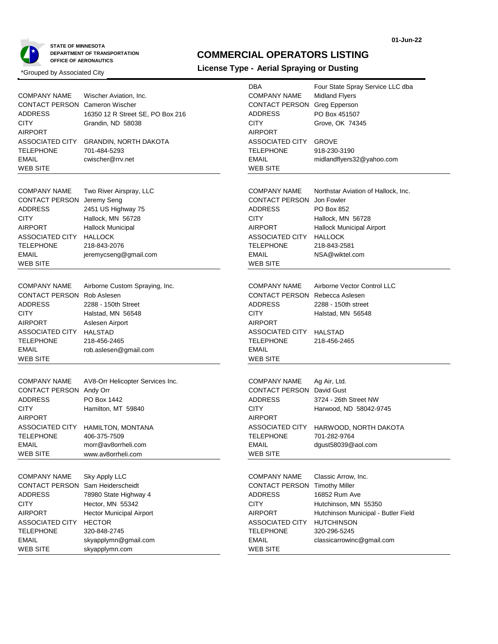

### **COMMERCIAL OPERATORS LISTING**

|                                       |                                  | <b>DBA</b>                            | Four State Spray Service LLC dba    |
|---------------------------------------|----------------------------------|---------------------------------------|-------------------------------------|
| <b>COMPANY NAME</b>                   | Wischer Aviation, Inc.           | <b>COMPANY NAME</b>                   | <b>Midland Flyers</b>               |
| <b>CONTACT PERSON Cameron Wischer</b> |                                  | CONTACT PERSON Greg Epperson          |                                     |
| ADDRESS                               | 16350 12 R Street SE, PO Box 216 | <b>ADDRESS</b>                        | PO Box 451507                       |
| <b>CITY</b>                           | Grandin, ND 58038                | <b>CITY</b>                           | Grove, OK 74345                     |
| <b>AIRPORT</b>                        |                                  | <b>AIRPORT</b>                        |                                     |
| ASSOCIATED CITY                       | <b>GRANDIN, NORTH DAKOTA</b>     | ASSOCIATED CITY                       | <b>GROVE</b>                        |
| TELEPHONE                             | 701-484-5293                     | <b>TELEPHONE</b>                      | 918-230-3190                        |
| <b>EMAIL</b>                          | cwischer@rrv.net                 | <b>EMAIL</b>                          | midlandflyers32@yahoo.com           |
| <b>WEB SITE</b>                       |                                  | <b>WEB SITE</b>                       |                                     |
|                                       |                                  |                                       |                                     |
| <b>COMPANY NAME</b>                   | Two River Airspray, LLC          | <b>COMPANY NAME</b>                   | Northstar Aviation of Hallock, Inc. |
| CONTACT PERSON Jeremy Seng            |                                  | CONTACT PERSON Jon Fowler             |                                     |
| ADDRESS                               | 2451 US Highway 75               | <b>ADDRESS</b>                        | PO Box 852                          |
| <b>CITY</b>                           | Hallock, MN 56728                | <b>CITY</b>                           | Hallock, MN 56728                   |
| <b>AIRPORT</b>                        | <b>Hallock Municipal</b>         | <b>AIRPORT</b>                        | <b>Hallock Municipal Airport</b>    |
| ASSOCIATED CITY                       | <b>HALLOCK</b>                   | ASSOCIATED CITY                       | <b>HALLOCK</b>                      |
| <b>TELEPHONE</b>                      | 218-843-2076                     | TELEPHONE                             | 218-843-2581                        |
| EMAIL                                 | jeremycseng@gmail.com            | <b>EMAIL</b>                          | NSA@wiktel.com                      |
| <b>WEB SITE</b>                       |                                  | WEB SITE                              |                                     |
|                                       |                                  |                                       |                                     |
| <b>COMPANY NAME</b>                   | Airborne Custom Spraying, Inc.   | <b>COMPANY NAME</b>                   | Airborne Vector Control LLC         |
| <b>CONTACT PERSON</b>                 | Rob Aslesen                      | <b>CONTACT PERSON Rebecca Aslesen</b> |                                     |
| <b>ADDRESS</b>                        | 2288 - 150th Street              | <b>ADDRESS</b>                        | 2288 - 150th street                 |
| <b>CITY</b>                           |                                  | <b>CITY</b>                           |                                     |
| <b>AIRPORT</b>                        | Halstad, MN 56548                | <b>AIRPORT</b>                        | Halstad, MN 56548                   |
|                                       | Aslesen Airport                  |                                       |                                     |
| ASSOCIATED CITY<br><b>TELEPHONE</b>   | <b>HALSTAD</b><br>218-456-2465   | ASSOCIATED CITY<br><b>TELEPHONE</b>   | <b>HALSTAD</b>                      |
| <b>EMAIL</b>                          |                                  | <b>EMAIL</b>                          | 218-456-2465                        |
| <b>WEB SITE</b>                       | rob.aslesen@gmail.com            | <b>WEB SITE</b>                       |                                     |
|                                       |                                  |                                       |                                     |
|                                       |                                  |                                       |                                     |
| <b>COMPANY NAME</b>                   | AV8-Orr Helicopter Services Inc. | <b>COMPANY NAME</b>                   | Ag Air, Ltd.                        |
| CONTACT PERSON Andy Orr               |                                  | <b>CONTACT PERSON David Gust</b>      |                                     |
| ADDRESS                               | PO Box 1442                      | <b>ADDRESS</b>                        | 3724 - 26th Street NW               |
| <b>CITY</b>                           | Hamilton, MT 59840               | <b>CITY</b>                           | Harwood, ND 58042-9745              |
| <b>AIRPORT</b>                        |                                  | <b>AIRPORT</b>                        |                                     |
| ASSOCIATED CITY                       | HAMILTON, MONTANA                | ASSOCIATED CITY                       | HARWOOD, NORTH DAKOTA               |
| <b>TELEPHONE</b>                      | 406-375-7509                     | <b>TELEPHONE</b>                      | 701-282-9764                        |
| EMAIL                                 | morr@av8orrheli.com              | EMAIL                                 | $d$ gust $58039@$ aol.com           |
| <b>WEB SITE</b>                       | www.av8orrheli.com               | WEB SITE                              |                                     |
|                                       |                                  |                                       |                                     |
| <b>COMPANY NAME</b>                   | Sky Apply LLC                    | <b>COMPANY NAME</b>                   | Classic Arrow, Inc.                 |
| <b>CONTACT PERSON</b>                 | Sam Heiderscheidt                | <b>CONTACT PERSON Timothy Miller</b>  |                                     |
| <b>ADDRESS</b>                        | 78980 State Highway 4            | <b>ADDRESS</b>                        | 16852 Rum Ave                       |
| <b>CITY</b>                           | Hector, MN 55342                 | <b>CITY</b>                           | Hutchinson, MN 55350                |
| <b>AIRPORT</b>                        | <b>Hector Municipal Airport</b>  | <b>AIRPORT</b>                        | Hutchinson Municipal - Butler Field |
| ASSOCIATED CITY                       | <b>HECTOR</b>                    | ASSOCIATED CITY                       | <b>HUTCHINSON</b>                   |
| <b>TELEPHONE</b>                      | 320-848-2745                     | <b>TELEPHONE</b>                      | 320-296-5245                        |
| <b>EMAIL</b>                          | skyapplymn@gmail.com             | <b>EMAIL</b>                          | classicarrowinc@gmail.com           |
| <b>WEB SITE</b>                       | skyapplymn.com                   | <b>WEB SITE</b>                       |                                     |
|                                       |                                  |                                       |                                     |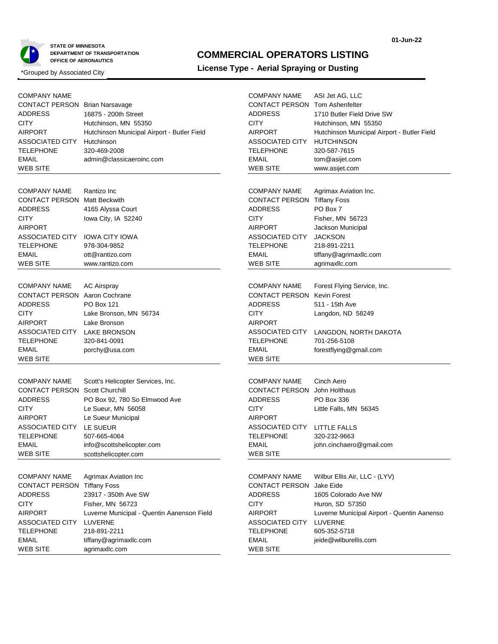

### **COMMERCIAL OPERATORS LISTING**

| <b>COMPANY NAME</b><br><b>CONTACT PERSON Brian Narsavage</b><br>ADDRESS<br><b>CITY</b><br><b>AIRPORT</b><br>ASSOCIATED CITY<br><b>TELEPHONE</b><br><b>EMAIL</b><br><b>WEB SITE</b>              | 16875 - 200th Street<br>Hutchinson, MN 55350<br>Hutchinson Municipal Airport - Butler Field<br>Hutchinson<br>320-469-2008<br>admin@classicaeroinc.com                                                                     | <b>COMPANY NAME</b><br><b>CONTACT PERSON Tom Ashenfelter</b><br><b>ADDRESS</b><br><b>CITY</b><br><b>AIRPORT</b><br>ASSOCIATED CITY<br><b>TELEPHONE</b><br><b>EMAIL</b><br><b>WEB SITE</b> | ASI Jet AG, LLC<br>1710 Butler Field Drive SW<br>Hutchinson, MN 55350<br>Hutchinson Municipal Airport - Butler Field<br><b>HUTCHINSON</b><br>320-587-7615<br>tom@asijet.com<br>www.asijet.com |
|-------------------------------------------------------------------------------------------------------------------------------------------------------------------------------------------------|---------------------------------------------------------------------------------------------------------------------------------------------------------------------------------------------------------------------------|-------------------------------------------------------------------------------------------------------------------------------------------------------------------------------------------|-----------------------------------------------------------------------------------------------------------------------------------------------------------------------------------------------|
| <b>COMPANY NAME</b><br><b>CONTACT PERSON</b><br><b>ADDRESS</b><br><b>CITY</b><br><b>AIRPORT</b><br>ASSOCIATED CITY<br><b>TELEPHONE</b><br><b>EMAIL</b><br><b>WEB SITE</b>                       | Rantizo Inc<br><b>Matt Beckwith</b><br>4165 Alyssa Court<br>lowa City, IA 52240<br><b>IOWA CITY IOWA</b><br>978-304-9852<br>ott@rantizo.com<br>www.rantizo.com                                                            | <b>COMPANY NAME</b><br><b>CONTACT PERSON Tiffany Foss</b><br><b>ADDRESS</b><br><b>CITY</b><br><b>AIRPORT</b><br>ASSOCIATED CITY<br><b>TELEPHONE</b><br><b>EMAIL</b><br><b>WEB SITE</b>    | Agrimax Aviation Inc.<br>PO Box 7<br>Fisher, MN 56723<br>Jackson Municipal<br><b>JACKSON</b><br>218-891-2211<br>tiffany@agrimaxllc.com<br>agrimaxllc.com                                      |
| <b>COMPANY NAME</b><br><b>CONTACT PERSON</b> Aaron Cochrane<br><b>ADDRESS</b><br><b>CITY</b><br><b>AIRPORT</b><br><b>ASSOCIATED CITY</b><br><b>TELEPHONE</b><br><b>EMAIL</b><br><b>WEB SITE</b> | <b>AC Airspray</b><br><b>PO Box 121</b><br>Lake Bronson, MN 56734<br>Lake Bronson<br><b>LAKE BRONSON</b><br>320-841-0091<br>porchy@usa.com                                                                                | <b>COMPANY NAME</b><br><b>CONTACT PERSON Kevin Forest</b><br><b>ADDRESS</b><br><b>CITY</b><br><b>AIRPORT</b><br>ASSOCIATED CITY<br><b>TELEPHONE</b><br><b>EMAIL</b><br><b>WEB SITE</b>    | Forest Flying Service, Inc.<br>511 - 15th Ave<br>Langdon, ND 58249<br>LANGDON, NORTH DAKOTA<br>701-256-5108<br>forestflying@gmail.com                                                         |
| <b>COMPANY NAME</b><br><b>CONTACT PERSON</b><br><b>ADDRESS</b><br><b>CITY</b><br><b>AIRPORT</b><br>ASSOCIATED CITY<br><b>TELEPHONE</b><br><b>EMAIL</b><br>WEB SITE                              | Scott's Helicopter Services, Inc.<br><b>Scott Churchill</b><br>PO Box 92, 780 So Elmwood Ave<br>Le Sueur, MN 56058<br>Le Sueur Municipal<br>LE SUEUR<br>507-665-4064<br>info@scottshelicopter.com<br>scottshelicopter.com | <b>COMPANY NAME</b><br><b>CONTACT PERSON</b> John Holthaus<br><b>ADDRESS</b><br><b>CITY</b><br><b>AIRPORT</b><br>ASSOCIATED CITY<br><b>TELEPHONE</b><br><b>EMAIL</b><br>WEB SITE          | Cinch Aero<br>PO Box 336<br>Little Falls, MN 56345<br><b>LITTLE FALLS</b><br>320-232-9663<br>john.cinchaero@gmail.com                                                                         |
| <b>COMPANY NAME</b><br><b>CONTACT PERSON Tiffany Foss</b><br><b>ADDRESS</b><br><b>CITY</b><br><b>AIRPORT</b><br>ASSOCIATED CITY<br><b>TELEPHONE</b><br><b>EMAIL</b><br><b>WEB SITE</b>          | Agrimax Aviation Inc<br>23917 - 350th Ave SW<br>Fisher, MN 56723<br>Luverne Municipal - Quentin Aanenson Field<br>LUVERNE<br>218-891-2211<br>tiffany@agrimaxllc.com<br>agrimaxllc.com                                     | <b>COMPANY NAME</b><br><b>CONTACT PERSON</b> Jake Eide<br><b>ADDRESS</b><br><b>CITY</b><br><b>AIRPORT</b><br>ASSOCIATED CITY<br><b>TELEPHONE</b><br><b>EMAIL</b><br><b>WEB SITE</b>       | Wilbur Ellis Air, LLC - (LYV)<br>1605 Colorado Ave NW<br>Huron, SD 57350<br>Luverne Municipal Airport - Quentin Aanenso<br>LUVERNE<br>605-352-5718<br>jeide@wilburellis.com                   |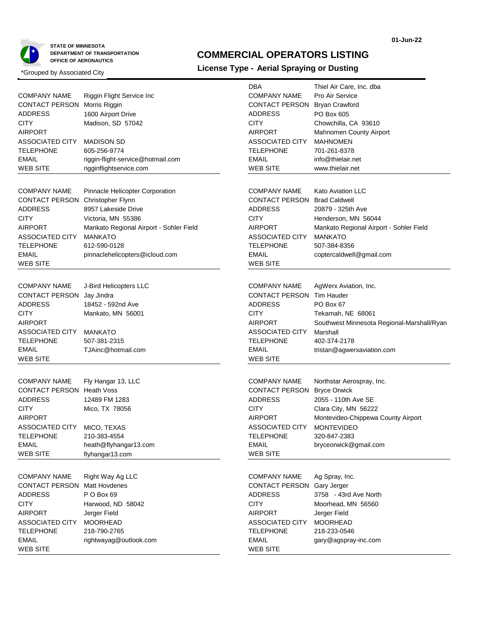

### **COMMERCIAL OPERATORS LISTING**

|                                     |                                         | <b>DBA</b>                          | Thiel Air Care, Inc. dba                   |
|-------------------------------------|-----------------------------------------|-------------------------------------|--------------------------------------------|
| <b>COMPANY NAME</b>                 | Riggin Flight Service Inc               | <b>COMPANY NAME</b>                 | Pro Air Service                            |
| CONTACT PERSON Morris Riggin        |                                         | CONTACT PERSON Bryan Crawford       |                                            |
| ADDRESS                             | 1600 Airport Drive                      | <b>ADDRESS</b>                      | PO Box 605                                 |
| CITY                                | Madison, SD 57042                       | <b>CITY</b>                         | Chowchilla, CA 93610                       |
| AIRPORT                             |                                         | <b>AIRPORT</b>                      | Mahnomen County Airport                    |
| ASSOCIATED CITY                     | <b>MADISON SD</b>                       | ASSOCIATED CITY                     | <b>MAHNOMEN</b>                            |
| TELEPHONE                           | 605-256-9774                            | <b>TELEPHONE</b>                    | 701-261-8378                               |
| <b>EMAIL</b>                        | riggin-flight-service@hotmail.com       | <b>EMAIL</b>                        | info@thielair.net                          |
| WEB SITE                            | rigginflightservice.com                 | <b>WEB SITE</b>                     | www.thielair.net                           |
|                                     |                                         |                                     |                                            |
| <b>COMPANY NAME</b>                 | Pinnacle Helicopter Corporation         | <b>COMPANY NAME</b>                 | <b>Kato Aviation LLC</b>                   |
| CONTACT PERSON Christopher Flynn    |                                         | <b>CONTACT PERSON Brad Caldwell</b> |                                            |
| ADDRESS                             | 8957 Lakeside Drive                     | <b>ADDRESS</b>                      | 20879 - 325th Ave                          |
| CITY                                | Victoria, MN 55386                      | <b>CITY</b>                         | Henderson, MN 56044                        |
| AIRPORT                             | Mankato Regional Airport - Sohler Field | <b>AIRPORT</b>                      | Mankato Regional Airport - Sohler Field    |
| ASSOCIATED CITY                     | <b>MANKATO</b>                          | ASSOCIATED CITY                     | <b>MANKATO</b>                             |
| TELEPHONE                           | 612-590-0128                            | <b>TELEPHONE</b>                    | 507-384-8356                               |
| EMAIL                               | pinnaclehelicopters@icloud.com          | <b>EMAIL</b>                        | coptercaldwell@gmail.com                   |
| WEB SITE                            |                                         | <b>WEB SITE</b>                     |                                            |
|                                     |                                         |                                     |                                            |
| <b>COMPANY NAME</b>                 | J-Bird Helicopters LLC                  | <b>COMPANY NAME</b>                 | AgWerx Aviation, Inc.                      |
| CONTACT PERSON                      | Jay Jindra                              | <b>CONTACT PERSON Tim Hauder</b>    |                                            |
| ADDRESS                             | 18452 - 592nd Ave                       | <b>ADDRESS</b>                      | PO Box 67                                  |
| CITY                                | Mankato, MN 56001                       | <b>CITY</b>                         | Tekamah, NE 68061                          |
| AIRPORT                             |                                         | <b>AIRPORT</b>                      | Southwest Minnesota Regional-Marshall/Ryan |
| ASSOCIATED CITY                     | MANKATO                                 | <b>ASSOCIATED CITY</b>              | Marshall                                   |
| TELEPHONE                           | 507-381-2315                            | <b>TELEPHONE</b>                    | 402-374-2178                               |
| <b>EMAIL</b>                        | TJAinc@hotmail.com                      | <b>EMAIL</b>                        | tristan@agwerxaviation.com                 |
| WEB SITE                            |                                         | <b>WEB SITE</b>                     |                                            |
|                                     |                                         |                                     |                                            |
| <b>COMPANY NAME</b>                 | Fly Hangar 13, LLC                      | <b>COMPANY NAME</b>                 | Northstar Aerospray, Inc.                  |
| <b>CONTACT PERSON Heath Voss</b>    |                                         | <b>CONTACT PERSON Bryce Orwick</b>  |                                            |
| <b>ADDRESS</b>                      | 12489 FM 1283                           | <b>ADDRESS</b>                      | 2055 - 110th Ave SE                        |
| CITY                                | Mico, TX 78056                          | <b>CITY</b>                         | Clara City, MN 56222                       |
| AIRPORT                             |                                         | <b>AIRPORT</b>                      | Montevideo-Chippewa County Airport         |
| ASSOCIATED CITY                     | MICO, TEXAS                             | <b>ASSOCIATED CITY</b>              | <b>MONTEVIDEO</b>                          |
| <b>TELEPHONE</b>                    | 210-383-4554                            | <b>TELEPHONE</b>                    | 320-847-2383                               |
| EMAIL                               | heath@flyhangar13.com                   | EMAIL                               | bryceorwick@gmail.com                      |
| <b>WEB SITE</b>                     | flyhangar13.com                         | <b>WEB SITE</b>                     |                                            |
|                                     |                                         |                                     |                                            |
| <b>COMPANY NAME</b>                 | Right Way Ag LLC                        | <b>COMPANY NAME</b>                 | Ag Spray, Inc.                             |
| <b>CONTACT PERSON Matt Hovdenes</b> |                                         | CONTACT PERSON Gary Jerger          |                                            |
| ADDRESS                             | P O Box 69                              | <b>ADDRESS</b>                      | 3758 - 43rd Ave North                      |
| <b>CITY</b>                         | Harwood, ND 58042                       | <b>CITY</b>                         | Moorhead, MN 56560                         |
| <b>AIRPORT</b>                      | Jerger Field                            | <b>AIRPORT</b>                      | Jerger Field                               |
| ASSOCIATED CITY                     | <b>MOORHEAD</b>                         | ASSOCIATED CITY                     | <b>MOORHEAD</b>                            |
| <b>TELEPHONE</b>                    | 218-790-2765                            | <b>TELEPHONE</b>                    | 218-233-0546                               |
| <b>EMAIL</b>                        | rightwayag@outlook.com                  | <b>EMAIL</b>                        | gary@agspray-inc.com                       |
| <b>WEB SITE</b>                     |                                         | <b>WEB SITE</b>                     |                                            |
|                                     |                                         |                                     |                                            |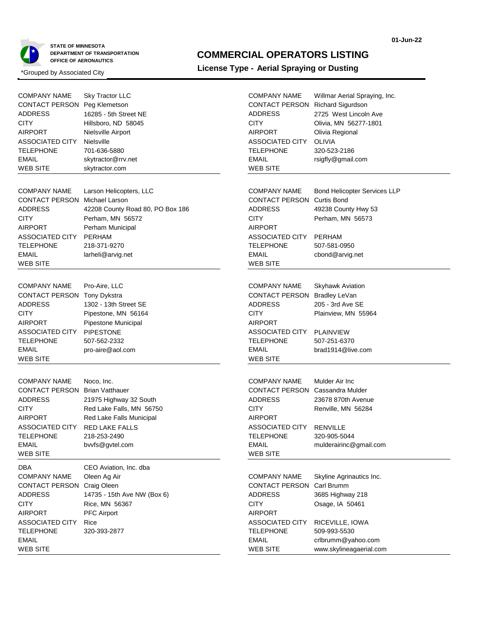

#### **01-Jun-22**

### **COMMERCIAL OPERATORS LISTING**

| <b>COMPANY NAME</b><br><b>CONTACT PERSON</b><br><b>ADDRESS</b><br><b>CITY</b><br><b>AIRPORT</b><br>ASSOCIATED CITY<br>TELEPHONE<br><b>EMAIL</b><br>WEB SITE                                         | <b>Sky Tractor LLC</b><br>Peg Klemetson<br>16285 - 5th Street NE<br>Hillsboro, ND 58045<br>Nielsville Airport<br>Nielsville<br>701-636-5880<br>skytractor@rrv.net<br>skytractor.com | <b>COMPANY NAME</b><br>CONTACT PERSON Richard Sigurdson<br><b>ADDRESS</b><br><b>CITY</b><br><b>AIRPORT</b><br><b>ASSOCIATED CITY</b><br><b>TELEPHONE</b><br><b>EMAIL</b><br><b>WEB SITE</b>  | Willmar Aerial Spraying, Inc.<br>2725 West Lincoln Ave<br>Olivia, MN 56277-1801<br>Olivia Regional<br><b>OLIVIA</b><br>320-523-2186<br>rsigfly@gmail.com |
|-----------------------------------------------------------------------------------------------------------------------------------------------------------------------------------------------------|-------------------------------------------------------------------------------------------------------------------------------------------------------------------------------------|----------------------------------------------------------------------------------------------------------------------------------------------------------------------------------------------|----------------------------------------------------------------------------------------------------------------------------------------------------------|
| <b>COMPANY NAME</b><br><b>CONTACT PERSON Michael Larson</b><br><b>ADDRESS</b><br><b>CITY</b><br><b>AIRPORT</b><br>ASSOCIATED CITY<br><b>TELEPHONE</b><br>EMAIL<br>WEB SITE                          | Larson Helicopters, LLC<br>42208 County Road 80, PO Box 186<br>Perham, MN 56572<br>Perham Municipal<br><b>PERHAM</b><br>218-371-9270<br>larheli@arvig.net                           | <b>COMPANY NAME</b><br><b>CONTACT PERSON Curtis Bond</b><br><b>ADDRESS</b><br><b>CITY</b><br><b>AIRPORT</b><br><b>ASSOCIATED CITY</b><br><b>TELEPHONE</b><br><b>EMAIL</b><br><b>WEB SITE</b> | <b>Bond Helicopter Services LLP</b><br>49238 County Hwy 53<br>Perham, MN 56573<br>PERHAM<br>507-581-0950<br>cbond@arvig.net                              |
| <b>COMPANY NAME</b><br>CONTACT PERSON<br><b>ADDRESS</b><br><b>CITY</b><br><b>AIRPORT</b><br>ASSOCIATED CITY<br><b>TELEPHONE</b><br><b>EMAIL</b><br>WEB SITE                                         | Pro-Aire, LLC<br><b>Tony Dykstra</b><br>1302 - 13th Street SE<br>Pipestone, MN 56164<br>Pipestone Municipal<br>PIPESTONE<br>507-562-2332<br>pro-aire@aol.com                        | <b>COMPANY NAME</b><br>CONTACT PERSON Bradley LeVan<br><b>ADDRESS</b><br><b>CITY</b><br><b>AIRPORT</b><br><b>ASSOCIATED CITY</b><br><b>TELEPHONE</b><br><b>EMAIL</b><br><b>WEB SITE</b>      | <b>Skyhawk Aviation</b><br>205 - 3rd Ave SE<br>Plainview, MN 55964<br><b>PLAINVIEW</b><br>507-251-6370<br>brad1914@live.com                              |
| <b>COMPANY NAME</b><br><b>CONTACT PERSON Brian Vatthauer</b><br><b>ADDRESS</b><br><b>CITY</b><br><b>AIRPORT</b><br><b>ASSOCIATED CITY</b><br><b>TELEPHONE</b><br><b>EMAIL</b><br>WEB SITE           | Noco, Inc.<br>21975 Highway 32 South<br>Red Lake Falls, MN 56750<br>Red Lake Falls Municipal<br><b>RED LAKE FALLS</b><br>218-253-2490<br>bvvfs@gvtel.com                            | <b>COMPANY NAME</b><br><b>CONTACT PERSON Cassandra Mulder</b><br><b>ADDRESS</b><br><b>CITY</b><br><b>AIRPORT</b><br>ASSOCIATED CITY<br><b>TELEPHONE</b><br>EMAIL<br>WEB SITE                 | Mulder Air Inc<br>23678 870th Avenue<br>Renville, MN 56284<br><b>RENVILLE</b><br>320-905-5044<br>mulderairinc@gmail.com                                  |
| <b>DBA</b><br><b>COMPANY NAME</b><br>CONTACT PERSON Craig Oleen<br><b>ADDRESS</b><br><b>CITY</b><br><b>AIRPORT</b><br><b>ASSOCIATED CITY</b><br><b>TELEPHONE</b><br><b>EMAIL</b><br><b>WEB SITE</b> | CEO Aviation, Inc. dba<br>Oleen Ag Air<br>14735 - 15th Ave NW (Box 6)<br>Rice, MN 56367<br><b>PFC Airport</b><br>Rice<br>320-393-2877                                               | <b>COMPANY NAME</b><br><b>CONTACT PERSON Carl Brumm</b><br><b>ADDRESS</b><br><b>CITY</b><br><b>AIRPORT</b><br><b>ASSOCIATED CITY</b><br><b>TELEPHONE</b><br><b>EMAIL</b><br><b>WEB SITE</b>  | Skyline Agrinautics Inc.<br>3685 Highway 218<br>Osage, IA 50461<br>RICEVILLE, IOWA<br>509-993-5530<br>crlbrumm@yahoo.com<br>www.skylineagaerial.com      |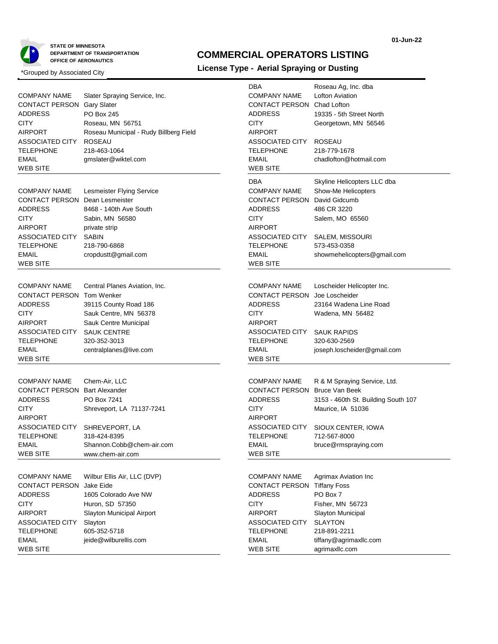

## **01-Jun-22**

# **COMMERCIAL OPERATORS LISTING**

| <b>COMPANY NAME</b><br><b>CONTACT PERSON Gary Slater</b><br><b>ADDRESS</b><br><b>CITY</b><br><b>AIRPORT</b><br><b>ASSOCIATED CITY</b><br><b>TELEPHONE</b><br><b>EMAIL</b><br><b>WEB SITE</b> | Slater Spraying Service, Inc.<br>PO Box 245<br>Roseau, MN 56751<br>Roseau Municipal - Rudy Billberg Field<br><b>ROSEAU</b><br>218-463-1064<br>gmslater@wiktel.com        | DBA<br><b>COMPANY NAME</b><br>CONTACT PERSON Chad Lofton<br><b>ADDRESS</b><br><b>CITY</b><br><b>AIRPORT</b><br>ASSOCIATED CITY<br><b>TELEPHONE</b><br><b>EMAIL</b><br><b>WEB SITE</b>          | Roseau Ag, Inc. dba<br>Lofton Aviation<br>19335 - 5th Street North<br>Georgetown, MN 56546<br><b>ROSEAU</b><br>218-779-1678<br>chadlofton@hotmail.com          |
|----------------------------------------------------------------------------------------------------------------------------------------------------------------------------------------------|--------------------------------------------------------------------------------------------------------------------------------------------------------------------------|------------------------------------------------------------------------------------------------------------------------------------------------------------------------------------------------|----------------------------------------------------------------------------------------------------------------------------------------------------------------|
| <b>COMPANY NAME</b><br><b>CONTACT PERSON</b><br><b>ADDRESS</b><br><b>CITY</b><br><b>AIRPORT</b><br>ASSOCIATED CITY<br>TELEPHONE<br><b>EMAIL</b><br><b>WEB SITE</b>                           | <b>Lesmeister Flying Service</b><br>Dean Lesmeister<br>8468 - 140th Ave South<br>Sabin, MN 56580<br>private strip<br><b>SABIN</b><br>218-790-6868<br>cropdustt@gmail.com | DBA<br><b>COMPANY NAME</b><br><b>CONTACT PERSON David Gidcumb</b><br><b>ADDRESS</b><br><b>CITY</b><br><b>AIRPORT</b><br>ASSOCIATED CITY<br><b>TELEPHONE</b><br><b>EMAIL</b><br><b>WEB SITE</b> | Skyline Helicopters LLC dba<br>Show-Me Helicopters<br>486 CR 3220<br>Salem, MO 65560<br>SALEM, MISSOURI<br>573-453-0358<br>showmehelicopters@gmail.com         |
| <b>COMPANY NAME</b><br>CONTACT PERSON Tom Wenker<br><b>ADDRESS</b><br><b>CITY</b><br><b>AIRPORT</b><br><b>ASSOCIATED CITY</b><br><b>TELEPHONE</b><br><b>EMAIL</b><br>WEB SITE                | Central Planes Aviation, Inc.<br>39115 County Road 186<br>Sauk Centre, MN 56378<br>Sauk Centre Municipal<br><b>SAUK CENTRE</b><br>320-352-3013<br>centralplanes@live.com | <b>COMPANY NAME</b><br>CONTACT PERSON Joe Loscheider<br><b>ADDRESS</b><br><b>CITY</b><br><b>AIRPORT</b><br>ASSOCIATED CITY<br><b>TELEPHONE</b><br><b>EMAIL</b><br><b>WEB SITE</b>              | Loscheider Helicopter Inc.<br>23164 Wadena Line Road<br>Wadena, MN 56482<br><b>SAUK RAPIDS</b><br>320-630-2569<br>joseph.loscheider@gmail.com                  |
| <b>COMPANY NAME</b><br><b>CONTACT PERSON</b><br><b>ADDRESS</b><br><b>CITY</b><br><b>AIRPORT</b><br>ASSOCIATED CITY<br><b>TELEPHONE</b><br>EMAIL<br><b>WEB SITE</b>                           | Chem-Air, LLC<br><b>Bart Alexander</b><br>PO Box 7241<br>Shreveport, LA 71137-7241<br>SHREVEPORT, LA<br>318-424-8395<br>Shannon.Cobb@chem-air.com<br>www.chem-air.com    | <b>COMPANY NAME</b><br><b>CONTACT PERSON Bruce Van Beek</b><br><b>ADDRESS</b><br><b>CITY</b><br><b>AIRPORT</b><br>ASSOCIATED CITY<br><b>TELEPHONE</b><br>EMAIL<br>WEB SITE                     | R & M Spraying Service, Ltd.<br>3153 - 460th St. Building South 107<br>Maurice, IA 51036<br>SIOUX CENTER, IOWA<br>712-567-8000<br>bruce@rmspraying.com         |
| <b>COMPANY NAME</b><br><b>CONTACT PERSON</b><br><b>ADDRESS</b><br><b>CITY</b><br><b>AIRPORT</b><br><b>ASSOCIATED CITY</b><br><b>TELEPHONE</b><br><b>EMAIL</b><br><b>WEB SITE</b>             | Wilbur Ellis Air, LLC (DVP)<br>Jake Eide<br>1605 Colorado Ave NW<br>Huron, SD 57350<br>Slayton Municipal Airport<br>Slayton<br>605-352-5718<br>jeide@wilburellis.com     | <b>COMPANY NAME</b><br><b>CONTACT PERSON Tiffany Foss</b><br><b>ADDRESS</b><br><b>CITY</b><br><b>AIRPORT</b><br>ASSOCIATED CITY<br><b>TELEPHONE</b><br><b>EMAIL</b><br><b>WEB SITE</b>         | <b>Agrimax Aviation Inc</b><br>PO Box 7<br>Fisher, MN 56723<br>Slayton Municipal<br><b>SLAYTON</b><br>218-891-2211<br>tiffany@agrimaxllc.com<br>agrimaxllc.com |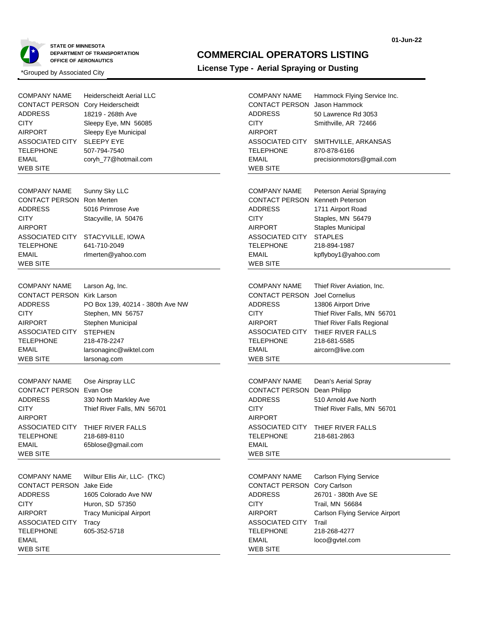

### **COMMERCIAL OPERATORS LISTING**

| <b>COMPANY NAME</b><br><b>CONTACT PERSON Cory Heiderscheidt</b><br><b>ADDRESS</b><br><b>CITY</b><br><b>AIRPORT</b><br>ASSOCIATED CITY<br><b>TELEPHONE</b><br><b>EMAIL</b><br><b>WEB SITE</b> | <b>Heiderscheidt Aerial LLC</b><br>18219 - 268th Ave<br>Sleepy Eye, MN 56085<br>Sleepy Eye Municipal<br><b>SLEEPY EYE</b><br>507-794-7540<br>coryh_77@hotmail.com         | <b>COMPANY NAME</b><br><b>CONTACT PERSON</b><br><b>ADDRESS</b><br><b>CITY</b><br><b>AIRPORT</b><br>ASSOCIATED CITY<br><b>TELEPHONE</b><br><b>EMAIL</b><br><b>WEB SITE</b>        | Hammock Flying Service Inc.<br>Jason Hammock<br>50 Lawrence Rd 3053<br>Smithville, AR 72466<br>SMITHVILLE, ARKANSAS<br>870-878-6166<br>precisionmotors@gmail.com                          |
|----------------------------------------------------------------------------------------------------------------------------------------------------------------------------------------------|---------------------------------------------------------------------------------------------------------------------------------------------------------------------------|----------------------------------------------------------------------------------------------------------------------------------------------------------------------------------|-------------------------------------------------------------------------------------------------------------------------------------------------------------------------------------------|
| <b>COMPANY NAME</b><br><b>CONTACT PERSON Ron Merten</b><br><b>ADDRESS</b><br><b>CITY</b><br><b>AIRPORT</b><br>ASSOCIATED CITY<br><b>TELEPHONE</b><br><b>EMAIL</b><br><b>WEB SITE</b>         | Sunny Sky LLC<br>5016 Primrose Ave<br>Stacyville, IA 50476<br>STACYVILLE, IOWA<br>641-710-2049<br>rlmerten@yahoo.com                                                      | <b>COMPANY NAME</b><br><b>CONTACT PERSON</b><br><b>ADDRESS</b><br><b>CITY</b><br><b>AIRPORT</b><br>ASSOCIATED CITY<br><b>TELEPHONE</b><br><b>EMAIL</b><br><b>WEB SITE</b>        | Peterson Aerial Spraying<br><b>Kenneth Peterson</b><br>1711 Airport Road<br>Staples, MN 56479<br>Staples Municipal<br><b>STAPLES</b><br>218-894-1987<br>kpflyboy1@yahoo.com               |
| <b>COMPANY NAME</b><br><b>CONTACT PERSON Kirk Larson</b><br><b>ADDRESS</b><br><b>CITY</b><br><b>AIRPORT</b><br>ASSOCIATED CITY<br><b>TELEPHONE</b><br><b>EMAIL</b><br><b>WEB SITE</b>        | Larson Ag, Inc.<br>PO Box 139, 40214 - 380th Ave NW<br>Stephen, MN 56757<br>Stephen Municipal<br><b>STEPHEN</b><br>218-478-2247<br>larsonaginc@wiktel.com<br>larsonag.com | <b>COMPANY NAME</b><br><b>CONTACT PERSON</b><br><b>ADDRESS</b><br><b>CITY</b><br><b>AIRPORT</b><br><b>ASSOCIATED CITY</b><br><b>TELEPHONE</b><br><b>EMAIL</b><br><b>WEB SITE</b> | Thief River Aviation, Inc.<br>Joel Cornelius<br>13806 Airport Drive<br>Thief River Falls, MN 56701<br>Thief River Falls Regional<br>THIEF RIVER FALLS<br>218-681-5585<br>aircorn@live.com |
| <b>COMPANY NAME</b><br><b>CONTACT PERSON Evan Ose</b><br><b>ADDRESS</b><br><b>CITY</b><br><b>AIRPORT</b><br>ASSOCIATED CITY<br><b>TELEPHONE</b><br><b>EMAIL</b><br>WEB SITE                  | Ose Airspray LLC<br>330 North Markley Ave<br>Thief River Falls, MN 56701<br>THIEF RIVER FALLS<br>218-689-8110<br>65blose@gmail.com                                        | <b>COMPANY NAME</b><br>CONTACT PERSON Dean Philipp<br><b>ADDRESS</b><br><b>CITY</b><br><b>AIRPORT</b><br>ASSOCIATED CITY<br><b>TELEPHONE</b><br><b>EMAIL</b><br><b>WEB SITE</b>  | Dean's Aerial Spray<br>510 Arnold Ave North<br>Thief River Falls, MN 56701<br>THIEF RIVER FALLS<br>218-681-2863                                                                           |
| <b>COMPANY NAME</b><br>CONTACT PERSON Jake Eide<br><b>ADDRESS</b><br><b>CITY</b><br><b>AIRPORT</b><br>ASSOCIATED CITY<br><b>TELEPHONE</b><br><b>EMAIL</b><br><b>WEB SITE</b>                 | Wilbur Ellis Air, LLC- (TKC)<br>1605 Colorado Ave NW<br>Huron, SD 57350<br><b>Tracy Municipal Airport</b><br>Tracy<br>605-352-5718                                        | <b>COMPANY NAME</b><br><b>CONTACT PERSON</b><br>ADDRESS<br><b>CITY</b><br><b>AIRPORT</b><br>ASSOCIATED CITY<br><b>TELEPHONE</b><br><b>EMAIL</b><br><b>WEB SITE</b>               | <b>Carlson Flying Service</b><br>Cory Carlson<br>26701 - 380th Ave SE<br>Trail, MN 56684<br>Carlson Flying Service Airport<br>Trail<br>218-268-4277<br>loco@gvtel.com                     |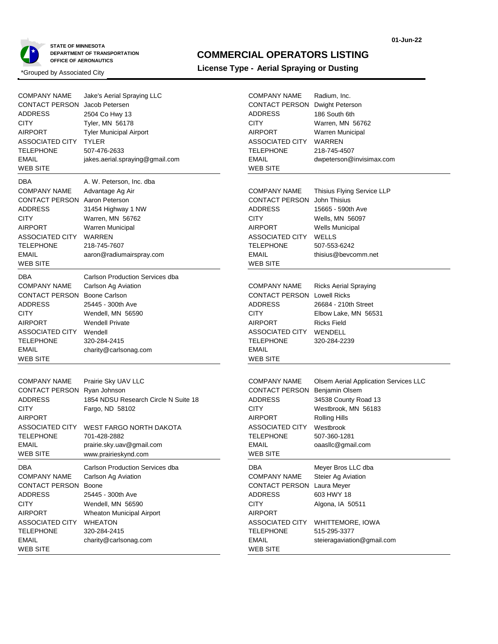

## **COMMERCIAL OPERATORS LISTING**

Radium, Inc.

## **License Type - Aerial Spraying or Dusting** \*Grouped by Associated City

COMPANY NAME

| <b>COMPANY NAME</b><br>CONTACT PERSON<br><b>ADDRESS</b><br>CITY<br><b>AIRPORT</b><br>ASSOCIATED CITY<br>TELEPHONE<br><b>EMAIL</b><br><b>WEB SITE</b>                                     | Jake's Aerial Spraying LLC<br>Jacob Petersen<br>2504 Co Hwy 13<br>Tyler, MN 56178<br><b>Tyler Municipal Airport</b><br><b>TYLER</b><br>507-476-2633<br>jakes.aerial.spraying@gmail.com |
|------------------------------------------------------------------------------------------------------------------------------------------------------------------------------------------|----------------------------------------------------------------------------------------------------------------------------------------------------------------------------------------|
| DBA<br><b>COMPANY NAME</b><br>CONTACT PERSON Aaron Peterson<br>ADDRESS<br>CITY<br><b>AIRPORT</b><br>ASSOCIATED CITY WARREN<br><b>TELEPHONE</b><br><b>EMAIL</b><br><b>WEB SITE</b>        | A. W. Peterson, Inc. dba<br>Advantage Ag Air<br>31454 Highway 1 NW<br>Warren, MN 56762<br>Warren Municipal<br>218-745-7607<br>aaron@radiumairspray.com                                 |
| DBA<br><b>COMPANY NAME</b><br><b>CONTACT PERSON Boone Carlson</b><br>ADDRESS<br><b>CITY</b><br>AIRPORT<br>ASSOCIATED CITY Wendell<br><b>TELEPHONE</b><br><b>EMAIL</b><br><b>WEB SITE</b> | Carlson Production Services dba<br>Carlson Ag Aviation<br>25445 - 300th Ave<br>Wendell, MN 56590<br><b>Wendell Private</b><br>320-284-2415<br>charity@carlsonag.com                    |
| <b>COMPANY NAME</b><br>CONTACT PERSON Ryan Johnson<br>ADDRESS<br>CITY<br><b>AIRPORT</b><br>ASSOCIATED CITY<br>TELEPHONE<br>EMAIL<br>WEB SITE                                             | Prairie Sky UAV LLC<br>1854 NDSU Research Circle N Suite 18<br>Fargo, ND 58102<br><b>WEST FARGO NORTH DAKOTA</b><br>701-428-2882<br>prairie.sky.uav@gmail.com<br>www.prairieskynd.com  |
| DBA<br><b>COMPANY NAME</b><br><b>CONTACT PERSON Boone</b><br><b>ADDRESS</b><br><b>CITY</b><br><b>AIRPORT</b><br>ASSOCIATED CITY WHEATON<br><b>TELEPHONE</b><br>EMAIL<br><b>WEB SITE</b>  | Carlson Production Services dba<br>Carlson Ag Aviation<br>25445 - 300th Ave<br>Wendell, MN 56590<br>Wheaton Municipal Airport<br>320-284-2415<br>charity@carlsonag.com                 |

| CONTACT PERSON Dwight Peterson<br><b>ADDRESS</b><br><b>CITY</b><br>AIRPORT<br>ASSOCIATED CITY<br>TELEPHONE<br>EMAIL<br>WEB SITE                             | 186 South 6th<br>Warren, MN 56762<br>Warren Municipal<br><b>WARREN</b><br>218-745-4507<br>dwpeterson@invisimax.com                                                  |
|-------------------------------------------------------------------------------------------------------------------------------------------------------------|---------------------------------------------------------------------------------------------------------------------------------------------------------------------|
| <b>COMPANY NAME</b><br>CONTACT PERSON<br><b>ADDRESS</b><br>CITY<br>AIRPORT<br>ASSOCIATED CITY<br>TELEPHONE<br><b>EMAIL</b><br>WEB SITE                      | Thisius Flying Service LLP<br>John Thisius<br>15665 - 590th Ave<br>Wells, MN 56097<br>Wells Municipal<br>WELLS<br>507-553-6242<br>thisius@bevcomm.net               |
| <b>COMPANY NAME</b><br><b>CONTACT PERSON Lowell Ricks</b><br>ADDRESS<br>CITY<br>AIRPORT<br>ASSOCIATED CITY WENDELL<br>TELEPHONE<br><b>EMAIL</b><br>WEB SITE | <b>Ricks Aerial Spraying</b><br>26684 - 210th Street<br>Elbow Lake, MN 56531<br><b>Ricks Field</b><br>320-284-2239                                                  |
| <b>COMPANY NAME</b><br>CONTACT PERSON<br><b>ADDRESS</b><br>CITY<br><b>AIRPORT</b><br>ASSOCIATED CITY Westbrook<br>TELEPHONE<br><b>EMAIL</b><br>WEB SITE     | Olsem Aerial Application Services LLC<br>Benjamin Olsem<br>34538 County Road 13<br>Westbrook, MN 56183<br><b>Rolling Hills</b><br>507-360-1281<br>oaasllc@gmail.com |
| DBA<br><b>COMPANY NAME</b><br>CONTACT PERSON<br><b>ADDRESS</b><br>CITY<br>AIRPORT<br>ASSOCIATED CITY<br><b>TELEPHONE</b><br><b>EMAIL</b><br>WEB SITE        | Meyer Bros LLC dba<br>Steier Ag Aviation<br>Laura Meyer<br>603 HWY 18<br>Algona, IA 50511<br>WHITTEMORE, IOWA<br>515-295-3377<br>steieragaviation@gmail.com         |